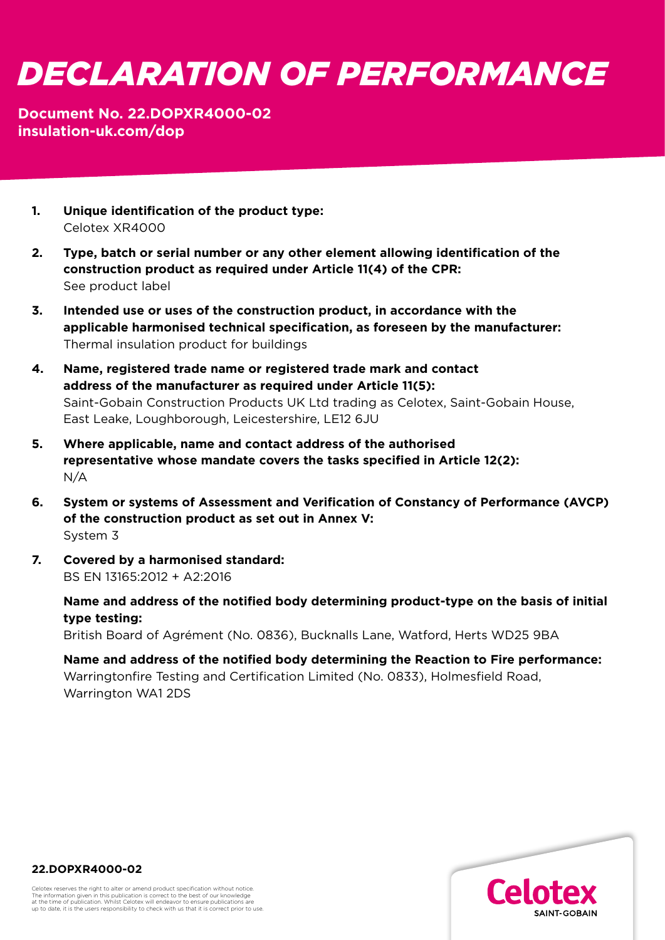## *DECLARATION OF PERFORMANCE*

## **Document No. 22.DOPXR4000-02 [insulation-uk.com/dop](https://insulation-uk.com/technical-services/resources/ce-marking)**

- **1. Unique identification of the product type:**  Celotex XR4000
- **2. Type, batch or serial number or any other element allowing identification of the construction product as required under Article 11(4) of the CPR:** See product label
- **3. Intended use or uses of the construction product, in accordance with the applicable harmonised technical specification, as foreseen by the manufacturer:**  Thermal insulation product for buildings
- **4. Name, registered trade name or registered trade mark and contact address of the manufacturer as required under Article 11(5):**  Saint-Gobain Construction Products UK Ltd trading as Celotex, Saint-Gobain House, East Leake, Loughborough, Leicestershire, LE12 6JU
- **5. Where applicable, name and contact address of the authorised representative whose mandate covers the tasks specified in Article 12(2):**  N/A
- **6. System or systems of Assessment and Verification of Constancy of Performance (AVCP) of the construction product as set out in Annex V:**  System 3
- **7. Covered by a harmonised standard:**  BS EN 13165:2012 + A2:2016

 **Name and address of the notified body determining product-type on the basis of initial type testing:**

British Board of Agrément (No. 0836), Bucknalls Lane, Watford, Herts WD25 9BA

 **Name and address of the notified body determining the Reaction to Fire performance:** Warringtonfire Testing and Certification Limited (No. 0833), Holmesfield Road, Warrington WA1 2DS



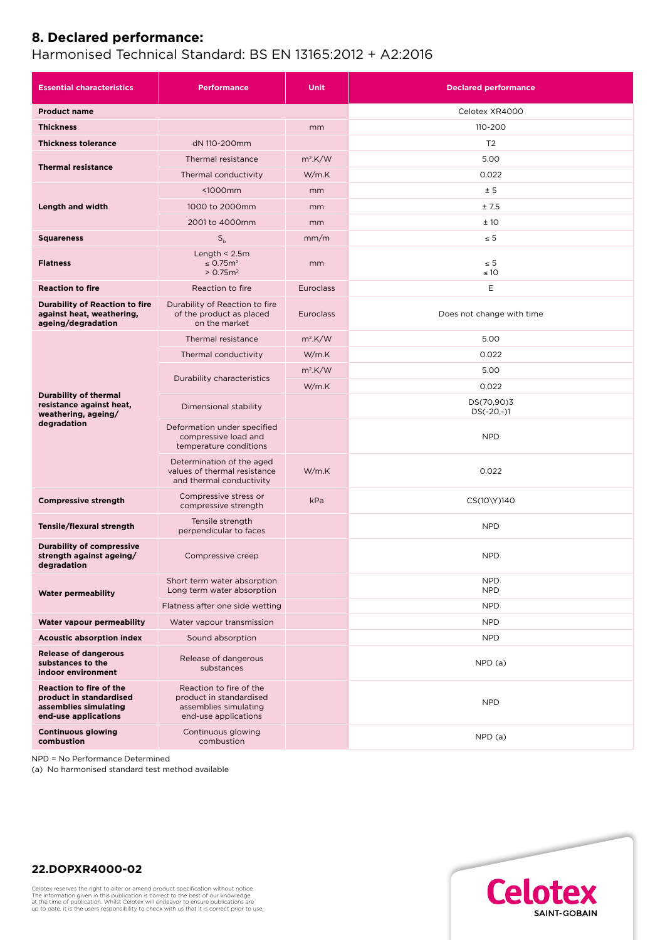## **8. Declared performance:**

## Harmonised Technical Standard: BS EN 13165:2012 + A2:2016

| <b>Essential characteristics</b>                                                                    | <b>Performance</b>                                                                                  | <b>Unit</b>      | <b>Declared performance</b> |
|-----------------------------------------------------------------------------------------------------|-----------------------------------------------------------------------------------------------------|------------------|-----------------------------|
| <b>Product name</b>                                                                                 |                                                                                                     |                  | Celotex XR4000              |
| <b>Thickness</b>                                                                                    |                                                                                                     | mm               | 110-200                     |
| <b>Thickness tolerance</b>                                                                          | dN 110-200mm                                                                                        |                  | T <sub>2</sub>              |
| <b>Thermal resistance</b>                                                                           | Thermal resistance                                                                                  | $m^2$ .K/W       | 5.00                        |
|                                                                                                     | Thermal conductivity                                                                                | W/m.K            | 0.022                       |
| Length and width                                                                                    | $1000mm$                                                                                            | mm               | ± 5                         |
|                                                                                                     | 1000 to 2000mm                                                                                      | mm               | ±7.5                        |
|                                                                                                     | 2001 to 4000mm                                                                                      | mm               | ±10                         |
| <b>Squareness</b>                                                                                   | $S_h$                                                                                               | mm/m             | $\leq 5$                    |
| <b>Flatness</b>                                                                                     | Length $<$ 2.5m<br>$\leq$ 0.75 $m2$<br>> 0.75 m <sup>2</sup>                                        | mm               | $\leq 5$<br>$\leq 10$       |
| <b>Reaction to fire</b>                                                                             | Reaction to fire                                                                                    | <b>Euroclass</b> | Ε                           |
| <b>Durability of Reaction to fire</b><br>against heat, weathering,<br>ageing/degradation            | Durability of Reaction to fire<br>of the product as placed<br>on the market                         | <b>Euroclass</b> | Does not change with time   |
| <b>Durability of thermal</b><br>resistance against heat,<br>weathering, ageing/<br>degradation      | Thermal resistance                                                                                  | $m2$ .K/W        | 5.00                        |
|                                                                                                     | Thermal conductivity                                                                                | W/m.K            | 0.022                       |
|                                                                                                     | Durability characteristics                                                                          | $m^2$ .K/W       | 5.00                        |
|                                                                                                     |                                                                                                     | W/m.K            | 0.022                       |
|                                                                                                     | Dimensional stability                                                                               |                  | DS(70,90)3<br>$DS(-20,-)1$  |
|                                                                                                     | Deformation under specified<br>compressive load and<br>temperature conditions                       |                  | <b>NPD</b>                  |
|                                                                                                     | Determination of the aged<br>values of thermal resistance<br>and thermal conductivity               | W/m.K            | 0.022                       |
| <b>Compressive strength</b>                                                                         | Compressive stress or<br>compressive strength                                                       | kPa              | CS(10\Y)140                 |
| Tensile/flexural strength                                                                           | Tensile strength<br>perpendicular to faces                                                          |                  | <b>NPD</b>                  |
| <b>Durability of compressive</b><br>strength against ageing/<br>degradation                         | Compressive creep                                                                                   |                  | <b>NPD</b>                  |
| <b>Water permeability</b>                                                                           | Short term water absorption<br>Long term water absorption                                           |                  | <b>NPD</b><br><b>NPD</b>    |
|                                                                                                     | Flatness after one side wetting                                                                     |                  | <b>NPD</b>                  |
| Water vapour permeability                                                                           | Water vapour transmission                                                                           |                  | <b>NPD</b>                  |
| <b>Acoustic absorption index</b>                                                                    | Sound absorption                                                                                    |                  | <b>NPD</b>                  |
| <b>Release of dangerous</b><br>substances to the<br>indoor environment                              | Release of dangerous<br>substances                                                                  |                  | NPD(a)                      |
| Reaction to fire of the<br>product in standardised<br>assemblies simulating<br>end-use applications | Reaction to fire of the<br>product in standardised<br>assemblies simulating<br>end-use applications |                  | <b>NPD</b>                  |
| <b>Continuous glowing</b><br>combustion                                                             | Continuous glowing<br>combustion                                                                    |                  | NPD(a)                      |

NPD = No Performance Determined

(a) No harmonised standard test method available



**22.DOPXR4000-02**